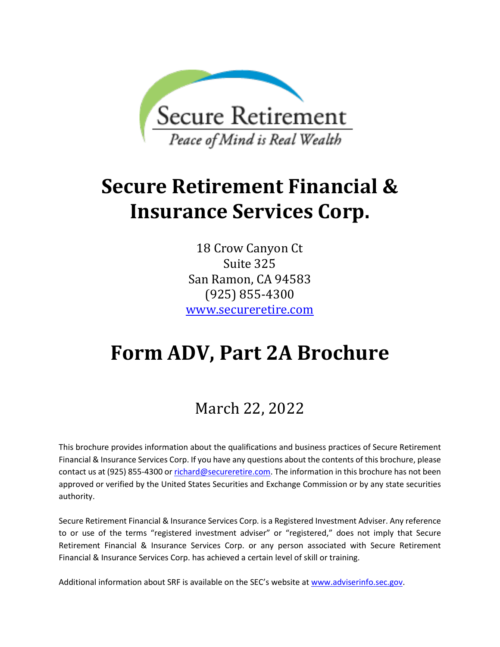<span id="page-0-0"></span>

# **Secure Retirement Financial & Insurance Services Corp.**

18 Crow Canyon Ct Suite 325 San Ramon, CA 94583 (925) 855-4300 [www.secureretire.com](http://www.secureretire.com/)

# **Form ADV, Part 2A Brochure**

# March 22, 2022

This brochure provides information about the qualifications and business practices of Secure Retirement Financial & Insurance Services Corp. If you have any questions about the contents of this brochure, please contact us at (925) 855-4300 o[r richard@secureretire.com.](mailto:richard@secureretire.com) The information in this brochure has not been approved or verified by the United States Securities and Exchange Commission or by any state securities authority.

Secure Retirement Financial & Insurance Services Corp. is a Registered Investment Adviser. Any reference to or use of the terms "registered investment adviser" or "registered," does not imply that Secure Retirement Financial & Insurance Services Corp. or any person associated with Secure Retirement Financial & Insurance Services Corp. has achieved a certain level of skill or training.

Additional information about SRF is available on the SEC's website at [www.adviserinfo.sec.gov.](http://www.adviserinfo.sec.gov/)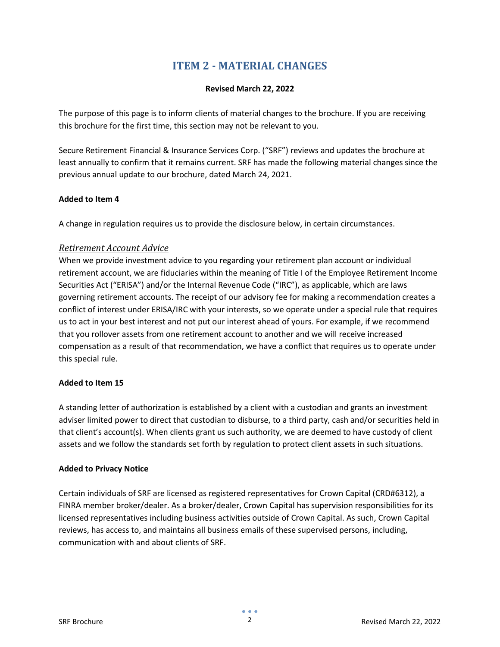# **ITEM 2 - MATERIAL CHANGES**

#### **Revised March 22, 2022**

<span id="page-1-0"></span>The purpose of this page is to inform clients of material changes to the brochure. If you are receiving this brochure for the first time, this section may not be relevant to you.

Secure Retirement Financial & Insurance Services Corp. ("SRF") reviews and updates the brochure at least annually to confirm that it remains current. SRF has made the following material changes since the previous annual update to our brochure, dated March 24, 2021.

#### **Added to Item 4**

A change in regulation requires us to provide the disclosure below, in certain circumstances.

#### *Retirement Account Advice*

When we provide investment advice to you regarding your retirement plan account or individual retirement account, we are fiduciaries within the meaning of Title I of the Employee Retirement Income Securities Act ("ERISA") and/or the Internal Revenue Code ("IRC"), as applicable, which are laws governing retirement accounts. The receipt of our advisory fee for making a recommendation creates a conflict of interest under ERISA/IRC with your interests, so we operate under a special rule that requires us to act in your best interest and not put our interest ahead of yours. For example, if we recommend that you rollover assets from one retirement account to another and we will receive increased compensation as a result of that recommendation, we have a conflict that requires us to operate under this special rule.

#### **Added to Item 15**

A standing letter of authorization is established by a client with a custodian and grants an investment adviser limited power to direct that custodian to disburse, to a third party, cash and/or securities held in that client's account(s). When clients grant us such authority, we are deemed to have custody of client assets and we follow the standards set forth by regulation to protect client assets in such situations.

#### **Added to Privacy Notice**

Certain individuals of SRF are licensed as registered representatives for Crown Capital (CRD#6312), a FINRA member broker/dealer. As a broker/dealer, Crown Capital has supervision responsibilities for its licensed representatives including business activities outside of Crown Capital. As such, Crown Capital reviews, has access to, and maintains all business emails of these supervised persons, including, communication with and about clients of SRF.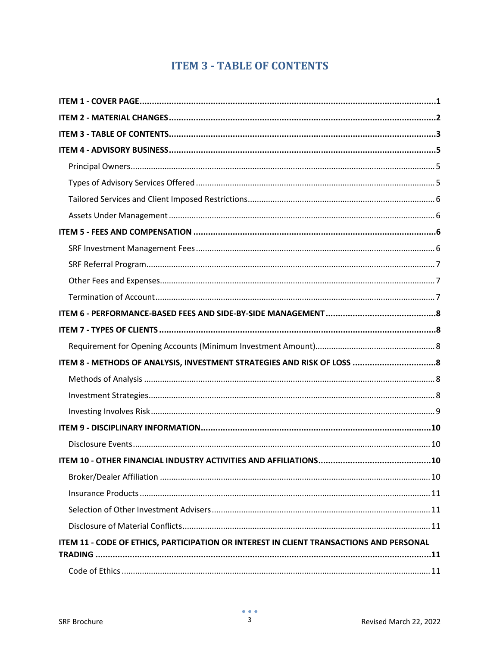# **ITEM 3 - TABLE OF CONTENTS**

<span id="page-2-0"></span>

| ITEM 8 - METHODS OF ANALYSIS, INVESTMENT STRATEGIES AND RISK OF LOSS  8                 |
|-----------------------------------------------------------------------------------------|
|                                                                                         |
|                                                                                         |
|                                                                                         |
|                                                                                         |
|                                                                                         |
|                                                                                         |
|                                                                                         |
|                                                                                         |
|                                                                                         |
|                                                                                         |
| ITEM 11 - CODE OF ETHICS, PARTICIPATION OR INTEREST IN CLIENT TRANSACTIONS AND PERSONAL |
| <b>TRADING</b>                                                                          |
|                                                                                         |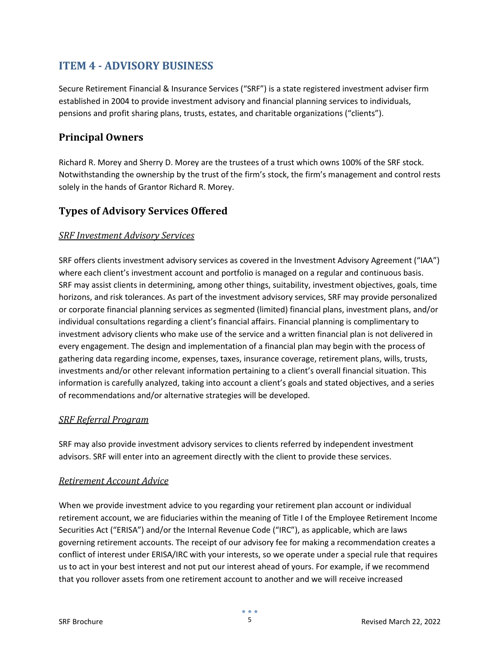# <span id="page-4-0"></span>**ITEM 4 - ADVISORY BUSINESS**

Secure Retirement Financial & Insurance Services ("SRF") is a state registered investment adviser firm established in 2004 to provide investment advisory and financial planning services to individuals, pensions and profit sharing plans, trusts, estates, and charitable organizations ("clients").

## <span id="page-4-1"></span>**Principal Owners**

Richard R. Morey and Sherry D. Morey are the trustees of a trust which owns 100% of the SRF stock. Notwithstanding the ownership by the trust of the firm's stock, the firm's management and control rests solely in the hands of Grantor Richard R. Morey.

## <span id="page-4-2"></span>**Types of Advisory Services Offered**

#### *SRF Investment Advisory Services*

SRF offers clients investment advisory services as covered in the Investment Advisory Agreement ("IAA") where each client's investment account and portfolio is managed on a regular and continuous basis. SRF may assist clients in determining, among other things, suitability, investment objectives, goals, time horizons, and risk tolerances. As part of the investment advisory services, SRF may provide personalized or corporate financial planning services as segmented (limited) financial plans, investment plans, and/or individual consultations regarding a client's financial affairs. Financial planning is complimentary to investment advisory clients who make use of the service and a written financial plan is not delivered in every engagement. The design and implementation of a financial plan may begin with the process of gathering data regarding income, expenses, taxes, insurance coverage, retirement plans, wills, trusts, investments and/or other relevant information pertaining to a client's overall financial situation. This information is carefully analyzed, taking into account a client's goals and stated objectives, and a series of recommendations and/or alternative strategies will be developed.

#### *SRF Referral Program*

SRF may also provide investment advisory services to clients referred by independent investment advisors. SRF will enter into an agreement directly with the client to provide these services.

#### *Retirement Account Advice*

When we provide investment advice to you regarding your retirement plan account or individual retirement account, we are fiduciaries within the meaning of Title I of the Employee Retirement Income Securities Act ("ERISA") and/or the Internal Revenue Code ("IRC"), as applicable, which are laws governing retirement accounts. The receipt of our advisory fee for making a recommendation creates a conflict of interest under ERISA/IRC with your interests, so we operate under a special rule that requires us to act in your best interest and not put our interest ahead of yours. For example, if we recommend that you rollover assets from one retirement account to another and we will receive increased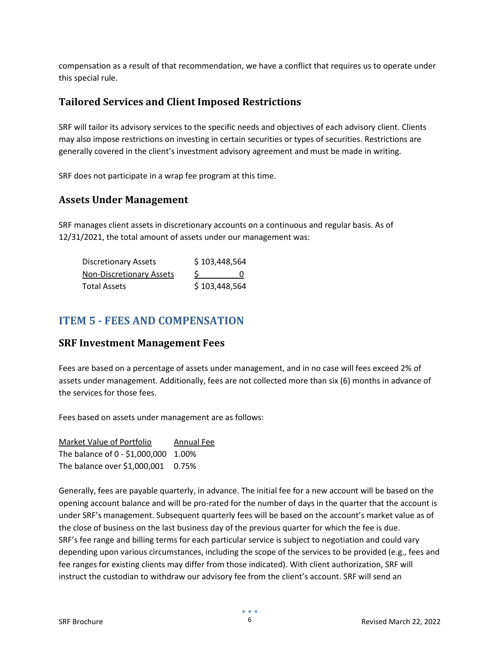compensation as a result of that recommendation, we have a conflict that requires us to operate under this special rule.

#### <span id="page-5-0"></span>**Tailored Services and Client Imposed Restrictions**

SRF will tailor its advisory services to the specific needs and objectives of each advisory client. Clients may also impose restrictions on investing in certain securities or types of securities. Restrictions are generally covered in the client's investment advisory agreement and must be made in writing.

SRF does not participate in a wrap fee program at this time.

#### <span id="page-5-1"></span>**Assets Under Management**

SRF manages client assets in discretionary accounts on a continuous and regular basis. As of 12/31/2021, the total amount of assets under our management was:

| <b>Discretionary Assets</b>     | \$103,448,564 |
|---------------------------------|---------------|
| <b>Non-Discretionary Assets</b> | O             |
| <b>Total Assets</b>             | \$103,448,564 |

## <span id="page-5-2"></span>**ITEM 5 - FEES AND COMPENSATION**

#### <span id="page-5-3"></span>**SRF Investment Management Fees**

Fees are based on a percentage of assets under management, and in no case will fees exceed 2% of assets under management. Additionally, fees are not collected more than six (6) months in advance of the services for those fees.

Fees based on assets under management are as follows:

| Market Value of Portfolio            | Annual Fee |
|--------------------------------------|------------|
| The balance of 0 - \$1,000,000 1.00% |            |
| The balance over \$1,000,001 0.75%   |            |

Generally, fees are payable quarterly, in advance. The initial fee for a new account will be based on the opening account balance and will be pro-rated for the number of days in the quarter that the account is under SRF's management. Subsequent quarterly fees will be based on the account's market value as of the close of business on the last business day of the previous quarter for which the fee is due. SRF's fee range and billing terms for each particular service is subject to negotiation and could vary depending upon various circumstances, including the scope of the services to be provided (e.g., fees and fee ranges for existing clients may differ from those indicated). With client authorization, SRF will instruct the custodian to withdraw our advisory fee from the client's account. SRF will send an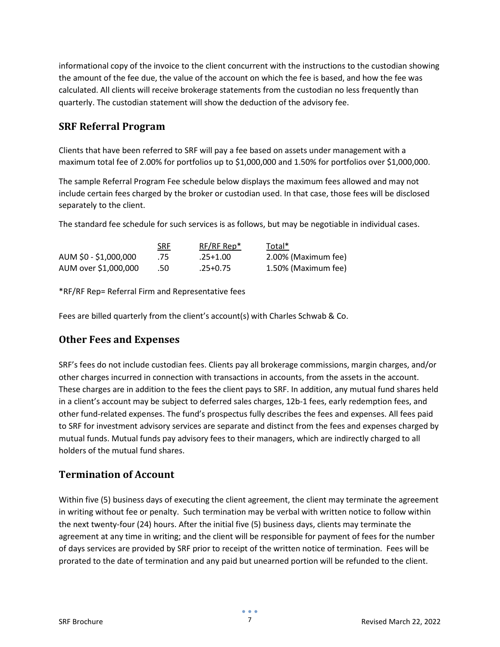informational copy of the invoice to the client concurrent with the instructions to the custodian showing the amount of the fee due, the value of the account on which the fee is based, and how the fee was calculated. All clients will receive brokerage statements from the custodian no less frequently than quarterly. The custodian statement will show the deduction of the advisory fee.

## <span id="page-6-0"></span>**SRF Referral Program**

Clients that have been referred to SRF will pay a fee based on assets under management with a maximum total fee of 2.00% for portfolios up to \$1,000,000 and 1.50% for portfolios over \$1,000,000.

The sample Referral Program Fee schedule below displays the maximum fees allowed and may not include certain fees charged by the broker or custodian used. In that case, those fees will be disclosed separately to the client.

The standard fee schedule for such services is as follows, but may be negotiable in individual cases.

|                       | <b>SRF</b> | $RF/RF Rep*$ | Total*              |
|-----------------------|------------|--------------|---------------------|
| AUM \$0 - \$1,000,000 | .75        | .25+1.00     | 2.00% (Maximum fee) |
| AUM over \$1,000,000  | .50        | .25+0.75     | 1.50% (Maximum fee) |

\*RF/RF Rep= Referral Firm and Representative fees

Fees are billed quarterly from the client's account(s) with Charles Schwab & Co.

## <span id="page-6-1"></span>**Other Fees and Expenses**

SRF's fees do not include custodian fees. Clients pay all brokerage commissions, margin charges, and/or other charges incurred in connection with transactions in accounts, from the assets in the account. These charges are in addition to the fees the client pays to SRF. In addition, any mutual fund shares held in a client's account may be subject to deferred sales charges, 12b-1 fees, early redemption fees, and other fund-related expenses. The fund's prospectus fully describes the fees and expenses. All fees paid to SRF for investment advisory services are separate and distinct from the fees and expenses charged by mutual funds. Mutual funds pay advisory fees to their managers, which are indirectly charged to all holders of the mutual fund shares.

## <span id="page-6-2"></span>**Termination of Account**

Within five (5) business days of executing the client agreement, the client may terminate the agreement in writing without fee or penalty. Such termination may be verbal with written notice to follow within the next twenty-four (24) hours. After the initial five (5) business days, clients may terminate the agreement at any time in writing; and the client will be responsible for payment of fees for the number of days services are provided by SRF prior to receipt of the written notice of termination. Fees will be prorated to the date of termination and any paid but unearned portion will be refunded to the client.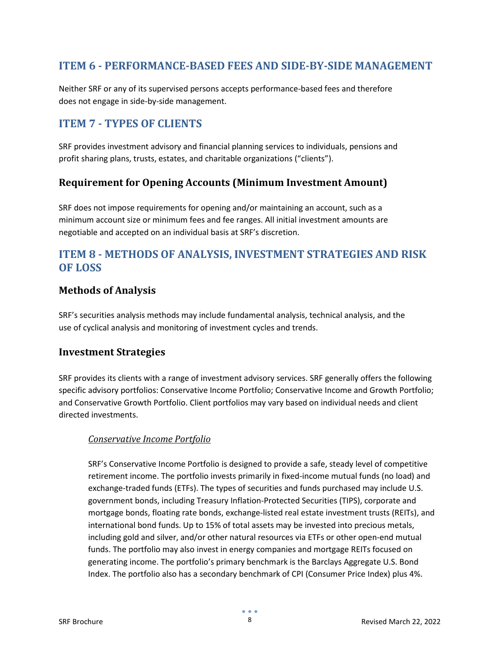# <span id="page-7-0"></span>**ITEM 6 - PERFORMANCE-BASED FEES AND SIDE-BY-SIDE MANAGEMENT**

Neither SRF or any of its supervised persons accepts performance-based fees and therefore does not engage in side-by-side management.

# <span id="page-7-1"></span>**ITEM 7 - TYPES OF CLIENTS**

SRF provides investment advisory and financial planning services to individuals, pensions and profit sharing plans, trusts, estates, and charitable organizations ("clients").

## <span id="page-7-2"></span>**Requirement for Opening Accounts (Minimum Investment Amount)**

SRF does not impose requirements for opening and/or maintaining an account, such as a minimum account size or minimum fees and fee ranges. All initial investment amounts are negotiable and accepted on an individual basis at SRF's discretion.

# <span id="page-7-3"></span>**ITEM 8 - METHODS OF ANALYSIS, INVESTMENT STRATEGIES AND RISK OF LOSS**

## <span id="page-7-4"></span>**Methods of Analysis**

SRF's securities analysis methods may include fundamental analysis, technical analysis, and the use of cyclical analysis and monitoring of investment cycles and trends.

#### <span id="page-7-5"></span>**Investment Strategies**

SRF provides its clients with a range of investment advisory services. SRF generally offers the following specific advisory portfolios: Conservative Income Portfolio; Conservative Income and Growth Portfolio; and Conservative Growth Portfolio. Client portfolios may vary based on individual needs and client directed investments.

#### *Conservative Income Portfolio*

SRF's Conservative Income Portfolio is designed to provide a safe, steady level of competitive retirement income. The portfolio invests primarily in fixed-income mutual funds (no load) and exchange-traded funds (ETFs). The types of securities and funds purchased may include U.S. government bonds, including Treasury Inflation-Protected Securities (TIPS), corporate and mortgage bonds, floating rate bonds, exchange-listed real estate investment trusts (REITs), and international bond funds. Up to 15% of total assets may be invested into precious metals, including gold and silver, and/or other natural resources via ETFs or other open-end mutual funds. The portfolio may also invest in energy companies and mortgage REITs focused on generating income. The portfolio's primary benchmark is the Barclays Aggregate U.S. Bond Index. The portfolio also has a secondary benchmark of CPI (Consumer Price Index) plus 4%.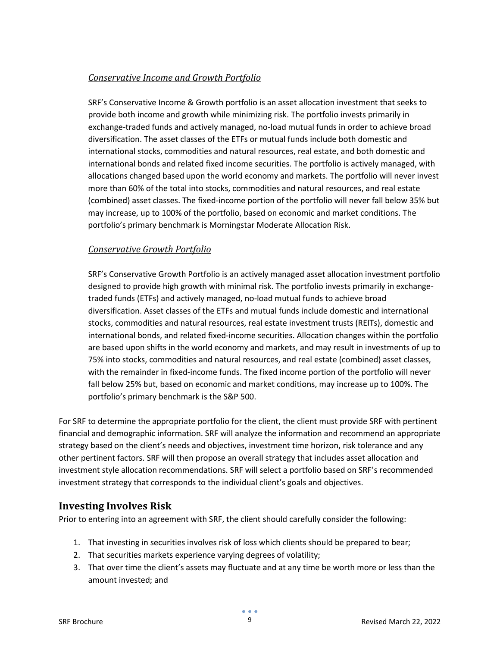#### *Conservative Income and Growth Portfolio*

SRF's Conservative Income & Growth portfolio is an asset allocation investment that seeks to provide both income and growth while minimizing risk. The portfolio invests primarily in exchange-traded funds and actively managed, no-load mutual funds in order to achieve broad diversification. The asset classes of the ETFs or mutual funds include both domestic and international stocks, commodities and natural resources, real estate, and both domestic and international bonds and related fixed income securities. The portfolio is actively managed, with allocations changed based upon the world economy and markets. The portfolio will never invest more than 60% of the total into stocks, commodities and natural resources, and real estate (combined) asset classes. The fixed-income portion of the portfolio will never fall below 35% but may increase, up to 100% of the portfolio, based on economic and market conditions. The portfolio's primary benchmark is Morningstar Moderate Allocation Risk.

#### *Conservative Growth Portfolio*

SRF's Conservative Growth Portfolio is an actively managed asset allocation investment portfolio designed to provide high growth with minimal risk. The portfolio invests primarily in exchangetraded funds (ETFs) and actively managed, no-load mutual funds to achieve broad diversification. Asset classes of the ETFs and mutual funds include domestic and international stocks, commodities and natural resources, real estate investment trusts (REITs), domestic and international bonds, and related fixed-income securities. Allocation changes within the portfolio are based upon shifts in the world economy and markets, and may result in investments of up to 75% into stocks, commodities and natural resources, and real estate (combined) asset classes, with the remainder in fixed-income funds. The fixed income portion of the portfolio will never fall below 25% but, based on economic and market conditions, may increase up to 100%. The portfolio's primary benchmark is the S&P 500.

For SRF to determine the appropriate portfolio for the client, the client must provide SRF with pertinent financial and demographic information. SRF will analyze the information and recommend an appropriate strategy based on the client's needs and objectives, investment time horizon, risk tolerance and any other pertinent factors. SRF will then propose an overall strategy that includes asset allocation and investment style allocation recommendations. SRF will select a portfolio based on SRF's recommended investment strategy that corresponds to the individual client's goals and objectives.

#### <span id="page-8-0"></span>**Investing Involves Risk**

Prior to entering into an agreement with SRF, the client should carefully consider the following:

- 1. That investing in securities involves risk of loss which clients should be prepared to bear;
- 2. That securities markets experience varying degrees of volatility;
- 3. That over time the client's assets may fluctuate and at any time be worth more or less than the amount invested; and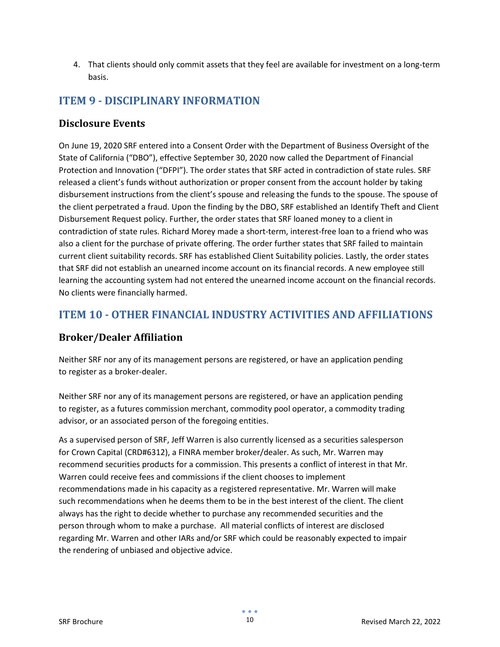4. That clients should only commit assets that they feel are available for investment on a long-term basis.

# <span id="page-9-0"></span>**ITEM 9 - DISCIPLINARY INFORMATION**

#### <span id="page-9-1"></span>**Disclosure Events**

On June 19, 2020 SRF entered into a Consent Order with the Department of Business Oversight of the State of California ("DBO"), effective September 30, 2020 now called the Department of Financial Protection and Innovation ("DFPI"). The order states that SRF acted in contradiction of state rules. SRF released a client's funds without authorization or proper consent from the account holder by taking disbursement instructions from the client's spouse and releasing the funds to the spouse. The spouse of the client perpetrated a fraud. Upon the finding by the DBO, SRF established an Identify Theft and Client Disbursement Request policy. Further, the order states that SRF loaned money to a client in contradiction of state rules. Richard Morey made a short-term, interest-free loan to a friend who was also a client for the purchase of private offering. The order further states that SRF failed to maintain current client suitability records. SRF has established Client Suitability policies. Lastly, the order states that SRF did not establish an unearned income account on its financial records. A new employee still learning the accounting system had not entered the unearned income account on the financial records. No clients were financially harmed.

# <span id="page-9-2"></span>**ITEM 10 - OTHER FINANCIAL INDUSTRY ACTIVITIES AND AFFILIATIONS**

## <span id="page-9-3"></span>**Broker/Dealer Affiliation**

Neither SRF nor any of its management persons are registered, or have an application pending to register as a broker-dealer.

Neither SRF nor any of its management persons are registered, or have an application pending to register, as a futures commission merchant, commodity pool operator, a commodity trading advisor, or an associated person of the foregoing entities.

As a supervised person of SRF, Jeff Warren is also currently licensed as a securities salesperson for Crown Capital (CRD#6312), a FINRA member broker/dealer. As such, Mr. Warren may recommend securities products for a commission. This presents a conflict of interest in that Mr. Warren could receive fees and commissions if the client chooses to implement recommendations made in his capacity as a registered representative. Mr. Warren will make such recommendations when he deems them to be in the best interest of the client. The client always has the right to decide whether to purchase any recommended securities and the person through whom to make a purchase. All material conflicts of interest are disclosed regarding Mr. Warren and other IARs and/or SRF which could be reasonably expected to impair the rendering of unbiased and objective advice.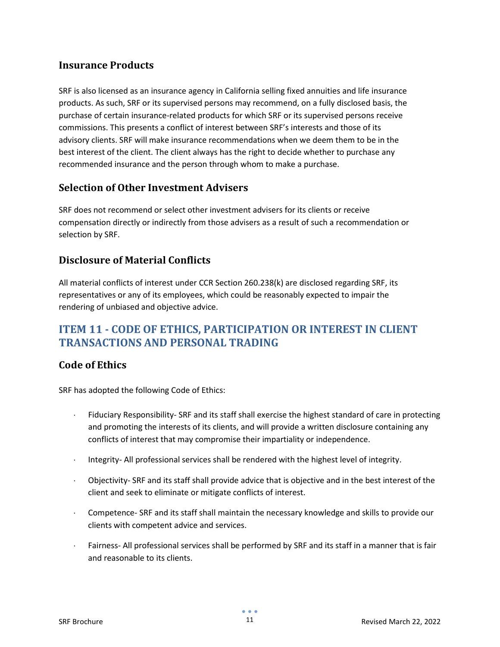## <span id="page-10-0"></span>**Insurance Products**

SRF is also licensed as an insurance agency in California selling fixed annuities and life insurance products. As such, SRF or its supervised persons may recommend, on a fully disclosed basis, the purchase of certain insurance-related products for which SRF or its supervised persons receive commissions. This presents a conflict of interest between SRF's interests and those of its advisory clients. SRF will make insurance recommendations when we deem them to be in the best interest of the client. The client always has the right to decide whether to purchase any recommended insurance and the person through whom to make a purchase.

## <span id="page-10-1"></span>**Selection of Other Investment Advisers**

SRF does not recommend or select other investment advisers for its clients or receive compensation directly or indirectly from those advisers as a result of such a recommendation or selection by SRF.

## <span id="page-10-2"></span>**Disclosure of Material Conflicts**

All material conflicts of interest under CCR Section 260.238(k) are disclosed regarding SRF, its representatives or any of its employees, which could be reasonably expected to impair the rendering of unbiased and objective advice.

# <span id="page-10-3"></span>**ITEM 11 - CODE OF ETHICS, PARTICIPATION OR INTEREST IN CLIENT TRANSACTIONS AND PERSONAL TRADING**

## <span id="page-10-4"></span>**Code of Ethics**

SRF has adopted the following Code of Ethics:

- Fiduciary Responsibility- SRF and its staff shall exercise the highest standard of care in protecting and promoting the interests of its clients, and will provide a written disclosure containing any conflicts of interest that may compromise their impartiality or independence.
- Integrity- All professional services shall be rendered with the highest level of integrity.
- Objectivity- SRF and its staff shall provide advice that is objective and in the best interest of the client and seek to eliminate or mitigate conflicts of interest.
- ⋅ Competence- SRF and its staff shall maintain the necessary knowledge and skills to provide our clients with competent advice and services.
- Fairness- All professional services shall be performed by SRF and its staff in a manner that is fair and reasonable to its clients.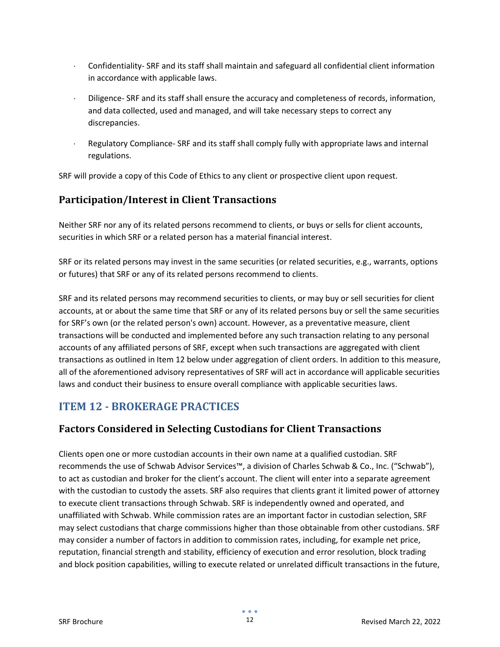- ⋅ Confidentiality- SRF and its staff shall maintain and safeguard all confidential client information in accordance with applicable laws.
- Diligence- SRF and its staff shall ensure the accuracy and completeness of records, information, and data collected, used and managed, and will take necessary steps to correct any discrepancies.
- ⋅ Regulatory Compliance- SRF and its staff shall comply fully with appropriate laws and internal regulations.

SRF will provide a copy of this Code of Ethics to any client or prospective client upon request.

## <span id="page-11-0"></span>**Participation/Interest in Client Transactions**

Neither SRF nor any of its related persons recommend to clients, or buys or sells for client accounts, securities in which SRF or a related person has a material financial interest.

SRF or its related persons may invest in the same securities (or related securities, e.g., warrants, options or futures) that SRF or any of its related persons recommend to clients.

SRF and its related persons may recommend securities to clients, or may buy or sell securities for client accounts, at or about the same time that SRF or any of its related persons buy or sell the same securities for SRF's own (or the related person's own) account. However, as a preventative measure, client transactions will be conducted and implemented before any such transaction relating to any personal accounts of any affiliated persons of SRF, except when such transactions are aggregated with client transactions as outlined in Item 12 below under aggregation of client orders. In addition to this measure, all of the aforementioned advisory representatives of SRF will act in accordance will applicable securities laws and conduct their business to ensure overall compliance with applicable securities laws.

# <span id="page-11-1"></span>**ITEM 12 - BROKERAGE PRACTICES**

## <span id="page-11-2"></span>**Factors Considered in Selecting Custodians for Client Transactions**

Clients open one or more custodian accounts in their own name at a qualified custodian. SRF recommends the use of Schwab Advisor Services™, a division of Charles Schwab & Co., Inc. ("Schwab"), to act as custodian and broker for the client's account. The client will enter into a separate agreement with the custodian to custody the assets. SRF also requires that clients grant it limited power of attorney to execute client transactions through Schwab. SRF is independently owned and operated, and unaffiliated with Schwab. While commission rates are an important factor in custodian selection, SRF may select custodians that charge commissions higher than those obtainable from other custodians. SRF may consider a number of factors in addition to commission rates, including, for example net price, reputation, financial strength and stability, efficiency of execution and error resolution, block trading and block position capabilities, willing to execute related or unrelated difficult transactions in the future,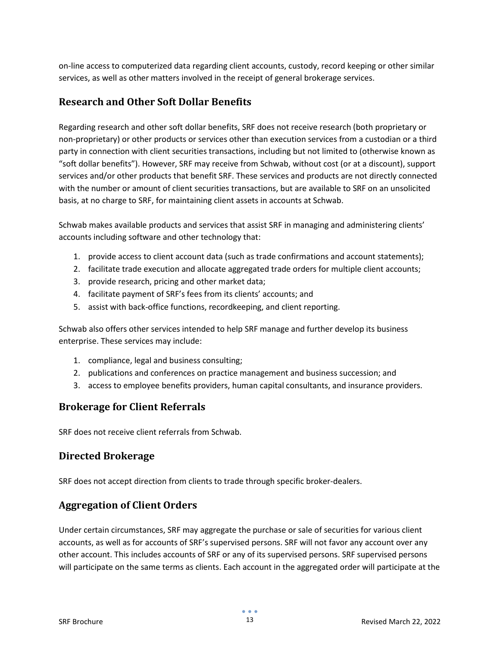on-line access to computerized data regarding client accounts, custody, record keeping or other similar services, as well as other matters involved in the receipt of general brokerage services.

#### <span id="page-12-0"></span>**Research and Other Soft Dollar Benefits**

Regarding research and other soft dollar benefits, SRF does not receive research (both proprietary or non-proprietary) or other products or services other than execution services from a custodian or a third party in connection with client securities transactions, including but not limited to (otherwise known as "soft dollar benefits"). However, SRF may receive from Schwab, without cost (or at a discount), support services and/or other products that benefit SRF. These services and products are not directly connected with the number or amount of client securities transactions, but are available to SRF on an unsolicited basis, at no charge to SRF, for maintaining client assets in accounts at Schwab.

Schwab makes available products and services that assist SRF in managing and administering clients' accounts including software and other technology that:

- 1. provide access to client account data (such as trade confirmations and account statements);
- 2. facilitate trade execution and allocate aggregated trade orders for multiple client accounts;
- 3. provide research, pricing and other market data;
- 4. facilitate payment of SRF's fees from its clients' accounts; and
- 5. assist with back-office functions, recordkeeping, and client reporting.

Schwab also offers other services intended to help SRF manage and further develop its business enterprise. These services may include:

- 1. compliance, legal and business consulting;
- 2. publications and conferences on practice management and business succession; and
- 3. access to employee benefits providers, human capital consultants, and insurance providers.

#### <span id="page-12-1"></span>**Brokerage for Client Referrals**

SRF does not receive client referrals from Schwab.

#### <span id="page-12-2"></span>**Directed Brokerage**

SRF does not accept direction from clients to trade through specific broker-dealers.

## <span id="page-12-3"></span>**Aggregation of Client Orders**

Under certain circumstances, SRF may aggregate the purchase or sale of securities for various client accounts, as well as for accounts of SRF's supervised persons. SRF will not favor any account over any other account. This includes accounts of SRF or any of its supervised persons. SRF supervised persons will participate on the same terms as clients. Each account in the aggregated order will participate at the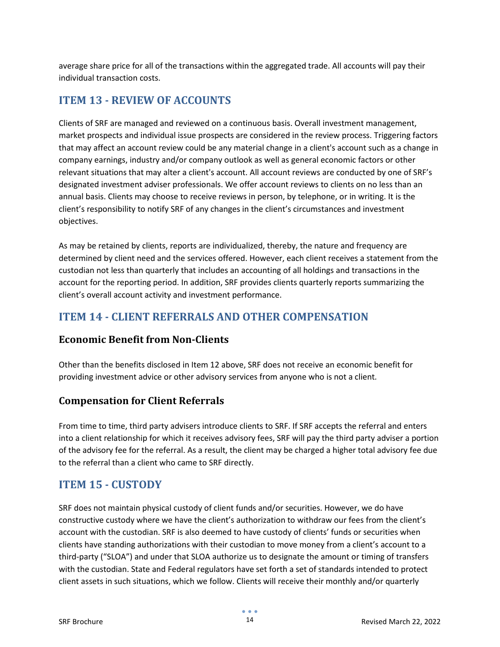average share price for all of the transactions within the aggregated trade. All accounts will pay their individual transaction costs.

# <span id="page-13-0"></span>**ITEM 13 - REVIEW OF ACCOUNTS**

Clients of SRF are managed and reviewed on a continuous basis. Overall investment management, market prospects and individual issue prospects are considered in the review process. Triggering factors that may affect an account review could be any material change in a client's account such as a change in company earnings, industry and/or company outlook as well as general economic factors or other relevant situations that may alter a client's account. All account reviews are conducted by one of SRF's designated investment adviser professionals. We offer account reviews to clients on no less than an annual basis. Clients may choose to receive reviews in person, by telephone, or in writing. It is the client's responsibility to notify SRF of any changes in the client's circumstances and investment objectives.

As may be retained by clients, reports are individualized, thereby, the nature and frequency are determined by client need and the services offered. However, each client receives a statement from the custodian not less than quarterly that includes an accounting of all holdings and transactions in the account for the reporting period. In addition, SRF provides clients quarterly reports summarizing the client's overall account activity and investment performance.

# <span id="page-13-1"></span>**ITEM 14 - CLIENT REFERRALS AND OTHER COMPENSATION**

#### <span id="page-13-2"></span>**Economic Benefit from Non-Clients**

Other than the benefits disclosed in Item 12 above, SRF does not receive an economic benefit for providing investment advice or other advisory services from anyone who is not a client*.*

## <span id="page-13-3"></span>**Compensation for Client Referrals**

From time to time, third party advisers introduce clients to SRF. If SRF accepts the referral and enters into a client relationship for which it receives advisory fees, SRF will pay the third party adviser a portion of the advisory fee for the referral. As a result, the client may be charged a higher total advisory fee due to the referral than a client who came to SRF directly.

## <span id="page-13-4"></span>**ITEM 15 - CUSTODY**

SRF does not maintain physical custody of client funds and/or securities. However, we do have constructive custody where we have the client's authorization to withdraw our fees from the client's account with the custodian. SRF is also deemed to have custody of clients' funds or securities when clients have standing authorizations with their custodian to move money from a client's account to a third-party ("SLOA") and under that SLOA authorize us to designate the amount or timing of transfers with the custodian. State and Federal regulators have set forth a set of standards intended to protect client assets in such situations, which we follow. Clients will receive their monthly and/or quarterly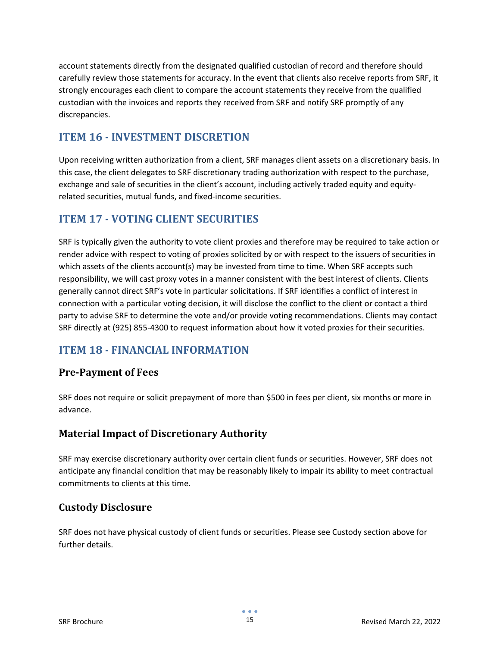account statements directly from the designated qualified custodian of record and therefore should carefully review those statements for accuracy. In the event that clients also receive reports from SRF, it strongly encourages each client to compare the account statements they receive from the qualified custodian with the invoices and reports they received from SRF and notify SRF promptly of any discrepancies.

# <span id="page-14-0"></span>**ITEM 16 - INVESTMENT DISCRETION**

Upon receiving written authorization from a client, SRF manages client assets on a discretionary basis. In this case, the client delegates to SRF discretionary trading authorization with respect to the purchase, exchange and sale of securities in the client's account, including actively traded equity and equityrelated securities, mutual funds, and fixed-income securities.

# <span id="page-14-1"></span>**ITEM 17 - VOTING CLIENT SECURITIES**

SRF is typically given the authority to vote client proxies and therefore may be required to take action or render advice with respect to voting of proxies solicited by or with respect to the issuers of securities in which assets of the clients account(s) may be invested from time to time. When SRF accepts such responsibility, we will cast proxy votes in a manner consistent with the best interest of clients. Clients generally cannot direct SRF's vote in particular solicitations. If SRF identifies a conflict of interest in connection with a particular voting decision, it will disclose the conflict to the client or contact a third party to advise SRF to determine the vote and/or provide voting recommendations. Clients may contact SRF directly at (925) 855-4300 to request information about how it voted proxies for their securities.

# <span id="page-14-2"></span>**ITEM 18 - FINANCIAL INFORMATION**

## **Pre-Payment of Fees**

SRF does not require or solicit prepayment of more than \$500 in fees per client, six months or more in advance.

## **Material Impact of Discretionary Authority**

SRF may exercise discretionary authority over certain client funds or securities. However, SRF does not anticipate any financial condition that may be reasonably likely to impair its ability to meet contractual commitments to clients at this time.

## **Custody Disclosure**

SRF does not have physical custody of client funds or securities. Please see Custody section above for further details.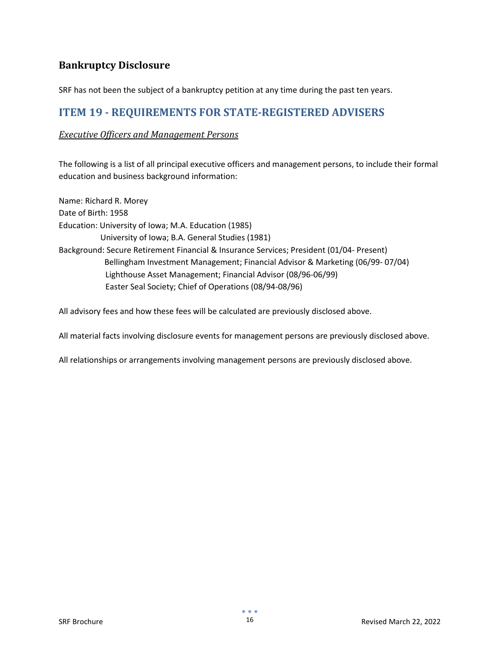## **Bankruptcy Disclosure**

<span id="page-15-0"></span>SRF has not been the subject of a bankruptcy petition at any time during the past ten years.

# **ITEM 19 - REQUIREMENTS FOR STATE-REGISTERED ADVISERS**

#### *Executive Officers and Management Persons*

The following is a list of all principal executive officers and management persons, to include their formal education and business background information:

Name: Richard R. Morey Date of Birth: 1958 Education: University of Iowa; M.A. Education (1985) University of Iowa; B.A. General Studies (1981) Background: Secure Retirement Financial & Insurance Services; President (01/04- Present) Bellingham Investment Management; Financial Advisor & Marketing (06/99- 07/04) Lighthouse Asset Management; Financial Advisor (08/96-06/99) Easter Seal Society; Chief of Operations (08/94-08/96)

All advisory fees and how these fees will be calculated are previously disclosed above.

All material facts involving disclosure events for management persons are previously disclosed above.

All relationships or arrangements involving management persons are previously disclosed above.